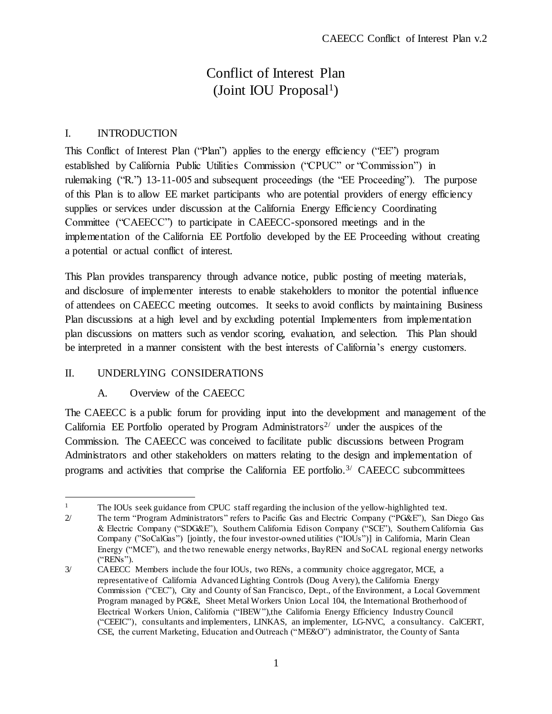# Conflict of Interest Plan (Joint IOU Proposal<sup>1</sup>)

## I. INTRODUCTION

This Conflict of Interest Plan ("Plan") applies to the energy efficiency ("EE") program established by California Public Utilities Commission ("CPUC" or "Commission") in rulemaking ("R.") 13-11-005 and subsequent proceedings (the "EE Proceeding"). The purpose of this Plan is to allow EE market participants who are potential providers of energy efficiency supplies or services under discussion at the California Energy Efficiency Coordinating Committee ("CAEECC") to participate in CAEECC-sponsored meetings and in the implementation of the California EE Portfolio developed by the EE Proceeding without creating a potential or actual conflict of interest.

This Plan provides transparency through advance notice, public posting of meeting materials, and disclosure of implementer interests to enable stakeholders to monitor the potential influence of attendees on CAEECC meeting outcomes. It seeks to avoid conflicts by maintaining Business Plan discussions at a high level and by excluding potential Implementers from implementation plan discussions on matters such as vendor scoring, evaluation, and selection. This Plan should be interpreted in a manner consistent with the best interests of California's energy customers.

## II. UNDERLYING CONSIDERATIONS

 $\overline{a}$ 

### A. Overview of the CAEECC

The CAEECC is a public forum for providing input into the development and management of the California EE Portfolio operated by Program Administrators<sup>2/</sup> under the auspices of the Commission. The CAEECC was conceived to facilitate public discussions between Program Administrators and other stakeholders on matters relating to the design and implementation of programs and activities that comprise the California EE portfolio.<sup>3/</sup> CAEECC subcommittees

<sup>&</sup>lt;sup>1</sup> The IOUs seek guidance from CPUC staff regarding the inclusion of the yellow-highlighted text.

<sup>2/</sup> The term "Program Administrators" refers to Pacific Gas and Electric Company ("PG&E"), San Diego Gas & Electric Company ("SDG&E"), Southern California Edison Company ("SCE"), Southern California Gas Company ("SoCalGas") [jointly, the four investor-owned utilities ("IOUs")] in California, Marin Clean Energy ("MCE"), and the two renewable energy networks, BayREN and SoCAL regional energy networks ("RENs").

<sup>3/</sup> CAEECC Members include the four IOUs, two RENs, a community choice aggregator, MCE, a representative of California Advanced Lighting Controls (Doug Avery), the California Energy Commission ("CEC"), City and County of San Francisco, Dept., of the Environment, a Local Government Program managed by PG&E, Sheet Metal Workers Union Local 104, the International Brotherhood of Electrical Workers Union, California ("IBEW"),the California Energy Efficiency Industry Council ("CEEIC"), consultants and implementers, LINKAS, an implementer, LG-NVC, a consultancy. CalCERT, CSE, the current Marketing, Education and Outreach ("ME&O") administrator, the County of Santa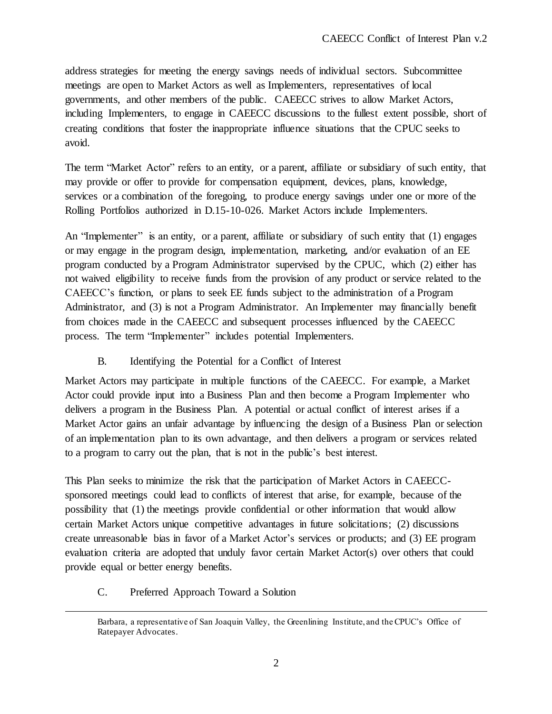address strategies for meeting the energy savings needs of individual sectors. Subcommittee meetings are open to Market Actors as well as Implementers, representatives of local governments, and other members of the public. CAEECC strives to allow Market Actors, including Implementers, to engage in CAEECC discussions to the fullest extent possible, short of creating conditions that foster the inappropriate influence situations that the CPUC seeks to avoid.

The term "Market Actor" refers to an entity, or a parent, affiliate or subsidiary of such entity, that may provide or offer to provide for compensation equipment, devices, plans, knowledge, services or a combination of the foregoing, to produce energy savings under one or more of the Rolling Portfolios authorized in D.15-10-026. Market Actors include Implementers.

An "Implementer" is an entity, or a parent, affiliate or subsidiary of such entity that (1) engages or may engage in the program design, implementation, marketing, and/or evaluation of an EE program conducted by a Program Administrator supervised by the CPUC, which (2) either has not waived eligibility to receive funds from the provision of any product or service related to the CAEECC's function, or plans to seek EE funds subject to the administration of a Program Administrator, and (3) is not a Program Administrator. An Implementer may financially benefit from choices made in the CAEECC and subsequent processes influenced by the CAEECC process. The term "Implementer" includes potential Implementers.

B. Identifying the Potential for a Conflict of Interest

Market Actors may participate in multiple functions of the CAEECC. For example, a Market Actor could provide input into a Business Plan and then become a Program Implementer who delivers a program in the Business Plan. A potential or actual conflict of interest arises if a Market Actor gains an unfair advantage by influencing the design of a Business Plan or selection of an implementation plan to its own advantage, and then delivers a program or services related to a program to carry out the plan, that is not in the public's best interest.

This Plan seeks to minimize the risk that the participation of Market Actors in CAEECCsponsored meetings could lead to conflicts of interest that arise, for example, because of the possibility that (1) the meetings provide confidential or other information that would allow certain Market Actors unique competitive advantages in future solicitations; (2) discussions create unreasonable bias in favor of a Market Actor's services or products; and (3) EE program evaluation criteria are adopted that unduly favor certain Market Actor(s) over others that could provide equal or better energy benefits.

C. Preferred Approach Toward a Solution

j

Barbara, a representative of San Joaquin Valley, the Greenlining Institute, and the CPUC's Office of Ratepayer Advocates.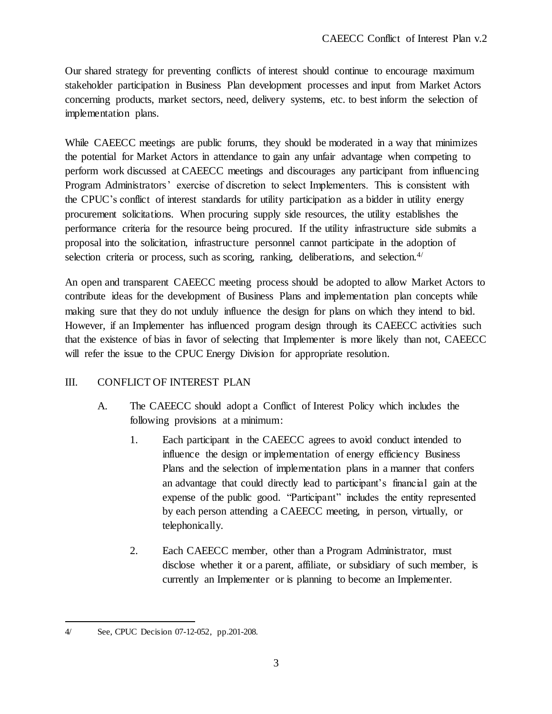Our shared strategy for preventing conflicts of interest should continue to encourage maximum stakeholder participation in Business Plan development processes and input from Market Actors concerning products, market sectors, need, delivery systems, etc. to best inform the selection of implementation plans.

While CAEECC meetings are public forums, they should be moderated in a way that minimizes the potential for Market Actors in attendance to gain any unfair advantage when competing to perform work discussed at CAEECC meetings and discourages any participant from influencing Program Administrators' exercise of discretion to select Implementers. This is consistent with the CPUC's conflict of interest standards for utility participation as a bidder in utility energy procurement solicitations. When procuring supply side resources, the utility establishes the performance criteria for the resource being procured. If the utility infrastructure side submits a proposal into the solicitation, infrastructure personnel cannot participate in the adoption of selection criteria or process, such as scoring, ranking, deliberations, and selection. $4/$ 

An open and transparent CAEECC meeting process should be adopted to allow Market Actors to contribute ideas for the development of Business Plans and implementation plan concepts while making sure that they do not unduly influence the design for plans on which they intend to bid. However, if an Implementer has influenced program design through its CAEECC activities such that the existence of bias in favor of selecting that Implementer is more likely than not, CAEECC will refer the issue to the CPUC Energy Division for appropriate resolution.

### III. CONFLICT OF INTEREST PLAN

- A. The CAEECC should adopt a Conflict of Interest Policy which includes the following provisions at a minimum:
	- 1. Each participant in the CAEECC agrees to avoid conduct intended to influence the design or implementation of energy efficiency Business Plans and the selection of implementation plans in a manner that confers an advantage that could directly lead to participant's financial gain at the expense of the public good. "Participant" includes the entity represented by each person attending a CAEECC meeting, in person, virtually, or telephonically.
	- 2. Each CAEECC member, other than a Program Administrator, must disclose whether it or a parent, affiliate, or subsidiary of such member, is currently an Implementer or is planning to become an Implementer.

l

<sup>4/</sup> See, CPUC Decision 07-12-052, pp.201-208.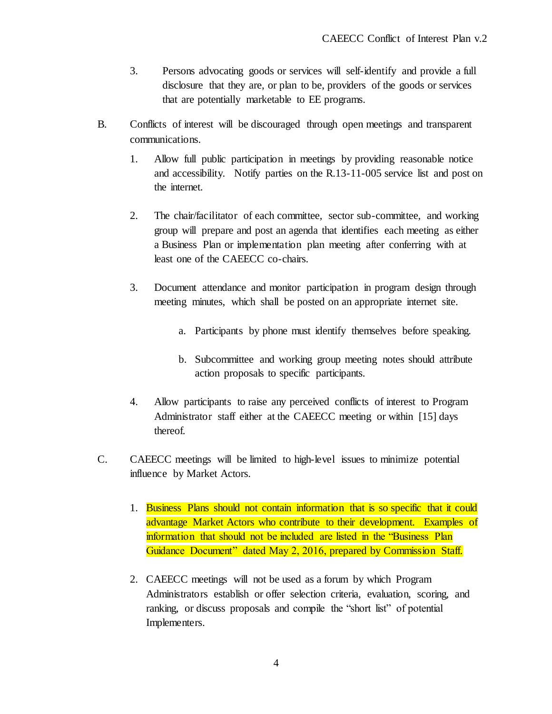- 3. Persons advocating goods or services will self-identify and provide a full disclosure that they are, or plan to be, providers of the goods or services that are potentially marketable to EE programs.
- B. Conflicts of interest will be discouraged through open meetings and transparent communications.
	- 1. Allow full public participation in meetings by providing reasonable notice and accessibility. Notify parties on the R.13-11-005 service list and post on the internet.
	- 2. The chair/facilitator of each committee, sector sub-committee, and working group will prepare and post an agenda that identifies each meeting as either a Business Plan or implementation plan meeting after conferring with at least one of the CAEECC co-chairs.
	- 3. Document attendance and monitor participation in program design through meeting minutes, which shall be posted on an appropriate internet site.
		- a. Participants by phone must identify themselves before speaking.
		- b. Subcommittee and working group meeting notes should attribute action proposals to specific participants.
	- 4. Allow participants to raise any perceived conflicts of interest to Program Administrator staff either at the CAEECC meeting or within [15] days thereof.
- C. CAEECC meetings will be limited to high-level issues to minimize potential influence by Market Actors.
	- 1. Business Plans should not contain information that is so specific that it could advantage Market Actors who contribute to their development. Examples of information that should not be included are listed in the "Business Plan Guidance Document" dated May 2, 2016, prepared by Commission Staff.
	- 2. CAEECC meetings will not be used as a forum by which Program Administrators establish or offer selection criteria, evaluation, scoring, and ranking, or discuss proposals and compile the "short list" of potential Implementers.